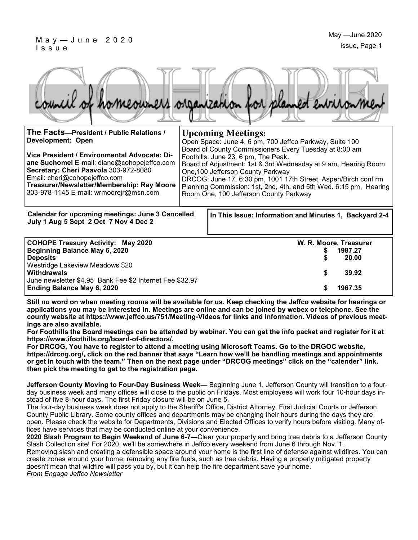#### M a y — J u n e 2 0 2 0 I s s u e

June newsletter \$4.95 Bank Fee \$2 Internet Fee \$32.97



| The Facts-President / Public Relations /<br><b>Development: Open</b><br>Vice President / Environmental Advocate: Di-<br>ane Suchomel E-mail: diane@cohopejeffco.com<br>Secretary: Cheri Paavola 303-972-8080<br>Email: cheri@cohopejeffco.com<br>Treasurer/Newsletter/Membership: Ray Moore<br>303-978-1145 E-mail: wrmoorejr@msn.com |  | <b>Upcoming Meetings:</b><br>Open Space: June 4, 6 pm, 700 Jeffco Parkway, Suite 100<br>Board of County Commissioners Every Tuesday at 8:00 am<br>Foothills: June 23, 6 pm, The Peak.<br>Board of Adjustment: 1st & 3rd Wednesday at 9 am, Hearing Room<br>One, 100 Jefferson County Parkway<br>DRCOG: June 17, 6:30 pm, 1001 17th Street, Aspen/Birch conf rm<br>Planning Commission: 1st, 2nd, 4th, and 5th Wed. 6:15 pm, Hearing<br>Room One, 100 Jefferson County Parkway |
|---------------------------------------------------------------------------------------------------------------------------------------------------------------------------------------------------------------------------------------------------------------------------------------------------------------------------------------|--|-------------------------------------------------------------------------------------------------------------------------------------------------------------------------------------------------------------------------------------------------------------------------------------------------------------------------------------------------------------------------------------------------------------------------------------------------------------------------------|
| Calendar for upcoming meetings: June 3 Cancelled<br>July 1 Aug 5 Sept 2 Oct 7 Nov 4 Dec 2                                                                                                                                                                                                                                             |  | In This Issue: Information and Minutes 1, Backyard 2-4                                                                                                                                                                                                                                                                                                                                                                                                                        |
| <b>COHOPE Treasury Activity: May 2020</b><br>Beginning Balance May 6, 2020<br><b>Deposits</b><br>Westridge Lakeview Meadows \$20                                                                                                                                                                                                      |  | W. R. Moore, Treasurer<br>1987.27<br>20.00                                                                                                                                                                                                                                                                                                                                                                                                                                    |

**Still no word on when meeting rooms will be available for us. Keep checking the Jeffco website for hearings or applications you may be interested in. Meetings are online and can be joined by webex or telephone. See the county website at https://www.jeffco.us/751/Meeting-Videos for links and information. Videos of previous meetings are also available.**

**Withdrawals \$ 39.92** 

**Ending Balance May 6, 2020 \$ 1967.35**

**For Foothills the Board meetings can be attended by webinar. You can get the info packet and register for it at https://www.ifoothills.org/board-of-directors/.**

**For DRCOG, You have to register to attend a meeting using Microsoft Teams. Go to the DRGOC website, https://drcog.org/, click on the red banner that says "Learn how we'll be handling meetings and appointments or get in touch with the team." Then on the next page under "DRCOG meetings" click on the "calender" link, then pick the meeting to get to the registration page.**

**Jefferson County Moving to Four-Day Business Week—** Beginning June 1, Jefferson County will transition to a fourday business week and many offices will close to the public on Fridays. Most employees will work four 10-hour days instead of five 8-hour days. The first Friday closure will be on June 5.

The four-day business week does not apply to the Sheriff's Office, District Attorney, First Judicial Courts or Jefferson County Public Library. Some county offices and departments may be changing their hours during the days they are open. Please check the website for Departments, Divisions and Elected Offices to verify hours before visiting. Many offices have services that may be conducted online at your convenience.

**2020 Slash Program to Begin Weekend of June 6-7—**Clear your property and bring tree debris to a Jefferson County Slash Collection site! For 2020, we'll be somewhere in Jeffco every weekend from June 6 through Nov. 1.

Removing slash and creating a defensible space around your home is the first line of defense against wildfires. You can create zones around your home, removing any fire fuels, such as tree debris. Having a properly mitigated property doesn't mean that wildfire will pass you by, but it can help the fire department save your home.

*From Engage Jeffco Newsletter*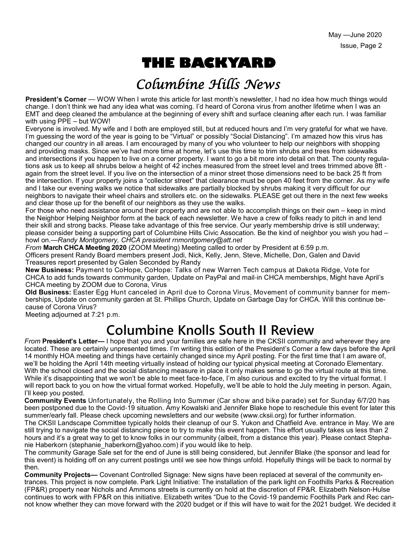# **THE BACKYARD**

## Columbine Hills News

**President's Corner** — WOW When I wrote this article for last month's newsletter, I had no idea how much things would change. I don't think we had any idea what was coming. I'd heard of Corona virus from another lifetime when I was an EMT and deep cleaned the ambulance at the beginning of every shift and surface cleaning after each run. I was familiar with using PPE – but WOW!

Everyone is involved. My wife and I both are employed still, but at reduced hours and I'm very grateful for what we have. I'm guessing the word of the year is going to be "Virtual" or possibly "Social Distancing". I'm amazed how this virus has changed our country in all areas. I am encouraged by many of you who volunteer to help our neighbors with shopping and providing masks. Since we've had more time at home, let's use this time to trim shrubs and trees from sidewalks and intersections if you happen to live on a corner property. I want to go a bit more into detail on that. The county regulations ask us to keep all shrubs below a height of 42 inches measured from the street level and trees trimmed above 8ft again from the street level. If you live on the intersection of a minor street those dimensions need to be back 25 ft from the intersection. If your property joins a "collector street" that clearance must be open 40 feet from the corner. As my wife and I take our evening walks we notice that sidewalks are partially blocked by shrubs making it very difficult for our neighbors to navigate their wheel chairs and strollers etc. on the sidewalks. PLEASE get out there in the next few weeks and clear those up for the benefit of our neighbors as they use the walks.

For those who need assistance around their property and are not able to accomplish things on their own – keep in mind the Neighbor Helping Neighbor form at the back of each newsletter. We have a crew of folks ready to pitch in and lend their skill and strong backs. Please take advantage of this free service. Our yearly membership drive is still underway; please consider being a supporting part of Columbine Hills Civic Assocation. Be the kind of neighbor you wish you had – howl on.—*Randy Montgomery, CHCA president rnmontgomery@att.net*

*From* **March CHCA Meeting 2020** (ZOOM Meeting) Meeting called to order by President at 6:59 p.m. Officers present Randy Board members present Jodi, Nick, Kelly, Jenn, Steve, Michelle, Don, Galen and David Treasures report presented by Galen Seconded by Randy

**New Business:** Payment to CoHope, CoHope: Talks of new Warren Tech campus at Dakota Ridge, Vote for CHCA to add funds towards community garden, Update on PayPal and mail-in CHCA memberships, Might have April's CHCA meeting by ZOOM due to Corona, Virus

**Old Business:** Easter Egg Hunt canceled in April due to Corona Virus, Movement of community banner for memberships, Update on community garden at St. Phillips Church, Update on Garbage Day for CHCA. Will this continue because of Corona Virus?

Meeting adjourned at 7:21 p.m.

## **Columbine Knolls South II Review**

*From* **President's Letter—** I hope that you and your families are safe here in the CKSII community and wherever they are located. These are certainly unpresented times. I'm writing this edition of the President's Corner a few days before the April 14 monthly HOA meeting and things have certainly changed since my April posting. For the first time that I am aware of, we'll be holding the April 14th meeting virtually instead of holding our typical physical meeting at Coronado Elementary. With the school closed and the social distancing measure in place it only makes sense to go the virtual route at this time. While it's disappointing that we won't be able to meet face-to-face, I'm also curious and excited to try the virtual format. I will report back to you on how the virtual format worked. Hopefully, we'll be able to hold the July meeting in person. Again, I'll keep you posted.

**Community Events** Unfortunately, the Rolling Into Summer (Car show and bike parade) set for Sunday 6/7/20 has been postponed due to the Covid-19 situation. Amy Kowalski and Jennifer Blake hope to reschedule this event for later this summer/early fall. Please check upcoming newsletters and our website (www.cksii.org) for further information.

The CKSII Landscape Committee typically holds their cleanup of our S. Yukon and Chatfield Ave. entrance in May. We are still trying to navigate the social distancing piece to try to make this event happen. This effort usually takes us less than 2 hours and it's a great way to get to know folks in our community (albeit, from a distance this year). Please contact Stephanie Haberkorn (stephanie\_haberkorn@yahoo.com) if you would like to help.

The community Garage Sale set for the end of June is still being considered, but Jennifer Blake (the sponsor and lead for this event) is holding off on any current postings until we see how things unfold. Hopefully things will be back to normal by then.

**Community Projects—** Covenant Controlled Signage: New signs have been replaced at several of the community entrances. This project is now complete. Park Light Initiative: The installation of the park light on Foothills Parks & Recreation (FP&R) property near Nichols and Ammons streets is currently on hold at the discretion of FP&R. Elizabeth Nelson-Hulse continues to work with FP&R on this initiative. Elizabeth writes "Due to the Covid-19 pandemic Foothills Park and Rec cannot know whether they can move forward with the 2020 budget or if this will have to wait for the 2021 budget. We decided it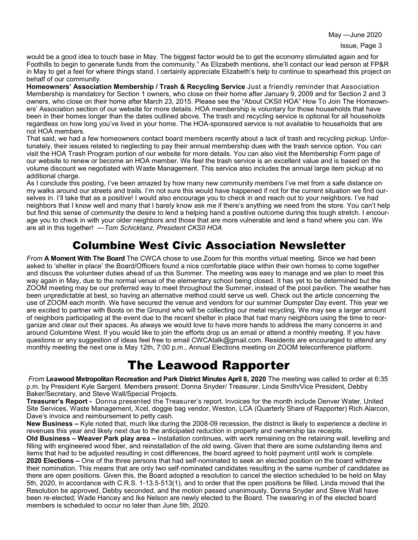May —June 2020

would be a good idea to touch base in May. The biggest factor would be to get the economy stimulated again and for Foothills to begin to generate funds from the community." As Elizabeth mentions, she'll contact our lead person at FP&R in May to get a feel for where things stand. I certainly appreciate Elizabeth's help to continue to spearhead this project on behalf of our community.

**Homeowners' Association Membership / Trash & Recycling Service** Just a friendly reminder that Association Membership is mandatory for Section 1 owners, who close on their home after January 9, 2009 and for Section 2 and 3 owners, who close on their home after March 23, 2015. Please see the "About CKSII HOA" How To Join The Homeowners' Association section of our website for more details. HOA membership is voluntary for those households that have been in their homes longer than the dates outlined above. The trash and recycling service is optional for all households regardless on how long you've lived in your home. The HOA-sponsored service is not available to households that are not HOA members.

That said, we had a few homeowners contact board members recently about a lack of trash and recycling pickup. Unfortunately, their issues related to neglecting to pay their annual membership dues with the trash service option. You can visit the HOA Trash Program portion of our website for more details. You can also visit the Membership Form page of our website to renew or become an HOA member. We feel the trash service is an excellent value and is based on the volume discount we negotiated with Waste Management. This service also includes the annual large item pickup at no additional charge.

As I conclude this posting, I've been amazed by how many new community members I've met from a safe distance on my walks around our streets and trails. I'm not sure this would have happened if not for the current situation we find ourselves in. I'll take that as a positive! I would also encourage you to check in and reach out to your neighbors. I've had neighbors that I know well and many that I barely know ask me if there's anything we need from the store. You can't help but find this sense of community the desire to lend a helping hand a positive outcome during this tough stretch. I encourage you to check in with your older neighbors and those that are more vulnerable and lend a hand where you can. We are all in this together! —*Tom Schicktanz, President CKSII HOA*

### Columbine West Civic Association Newsletter

*From* **A Moment With The Board** The CWCA chose to use Zoom for this months virtual meeting. Since we had been asked to 'shelter in place' the Board/Officers found a nice comfortable place within their own homes to come together and discuss the volunteer duties ahead of us this Summer. The meeting was easy to manage and we plan to meet this way again in May, due to the normal venue of the elementary school being closed. It has yet to be determined but the ZOOM meeting may be our preferred way to meet throughout the Summer, instead of the pool pavilion. The weather has been unpredictable at best, so having an alternative method could serve us well. Check out the article concerning the use of ZOOM each month. We have secured the venue and vendors for our summer Dumpster Day event. This year we are excited to partner with Boots on the Ground who will be collecting our metal recycling. We may see a larger amount of neighbors participating at the event due to the recent shelter in place that had many neighbors using the time to reorganize and clear out their spaces. As always we would love to have more hands to address the many concerns in and around Columbine West. If you would like to join the efforts drop us an email or attend a monthly meeting. If you have questions or any suggestion of ideas feel free to email CWCAtalk@gmail.com. Residents are encouraged to attend any monthly meeting the next one is May 12th, 7:00 p.m., Annual Elections meeting on ZOOM teleconference platform.

## The Leawood Rapporter

*From* **Leawood Metropolitan Recreation and Park District Minutes April 8, 2020** The meeting was called to order at 6:35 p.m. by President Kyle Sargent. Members present: Donna Snyder/ Treasurer, Linda Smith/Vice President, Debby Baker/Secretary, and Steve Wall/Special Projects.

**Treasurer's Report -** Donna presented the Treasurer's report. Invoices for the month include Denver Water, United Site Services, Waste Management, Xcel, doggie bag vendor, Weston, LCA (Quarterly Share of Rapporter) Rich Alarcon, Dave's invoice and reimbursement to petty cash.

**New Business –** Kyle noted that, much like during the 2008-09 recession, the district is likely to experience a decline in revenues this year and likely next due to the anticipated reduction in property and ownership tax receipts.

**Old Business – Weaver Park play area –** Installation continues, with work remaining on the retaining wall, levelling and filling with engineered wood fiber, and reinstallation of the old swing. Given that there are some outstanding items and items that had to be adjusted resulting in cost differences, the board agreed to hold payment until work is complete. **2020 Elections –** One of the three persons that had self-nominated to seek an elected position on the board withdrew their nomination. This means that are only two self-nominated candidates resulting in the same number of candidates as there are open positions. Given this, the Board adopted a resolution to cancel the election scheduled to be held on May 5th, 2020, in accordance with C.R.S. 1-13.5-513(1), and to order that the open positions be filled. Linda moved that the Resolution be approved, Debby seconded, and the motion passed unanimously. Donna Snyder and Steve Wall have been re-elected; Wade Hancey and Ike Nelson are newly elected to the Board. The swearing in of the elected board members is scheduled to occur no later than June 5th, 2020.